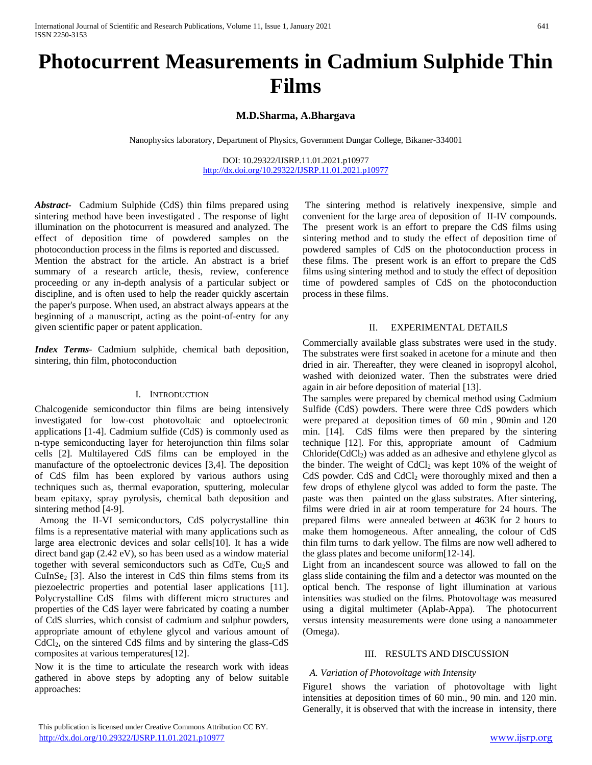# **Photocurrent Measurements in Cadmium Sulphide Thin Films**

### **M.D.Sharma, A.Bhargava**

Nanophysics laboratory, Department of Physics, Government Dungar College, Bikaner-334001

DOI: 10.29322/IJSRP.11.01.2021.p10977 <http://dx.doi.org/10.29322/IJSRP.11.01.2021.p10977>

*Abstract***-** Cadmium Sulphide (CdS) thin films prepared using sintering method have been investigated . The response of light illumination on the photocurrent is measured and analyzed. The effect of deposition time of powdered samples on the photoconduction process in the films is reported and discussed. Mention the abstract for the article. An abstract is a brief summary of a research article, thesis, review, conference proceeding or any in-depth analysis of a particular subject or discipline, and is often used to help the reader quickly ascertain the paper's purpose. When used, an abstract always appears at the beginning of a manuscript, acting as the point-of-entry for any given scientific paper or patent application.

*Index Terms*- Cadmium sulphide, chemical bath deposition, sintering, thin film, photoconduction

#### I. INTRODUCTION

Chalcogenide semiconductor thin films are being intensively investigated for low-cost photovoltaic and optoelectronic applications [1-4]. Cadmium sulfide (CdS) is commonly used as n-type semiconducting layer for heterojunction thin films solar cells [2]. Multilayered CdS films can be employed in the manufacture of the optoelectronic devices [3,4]. The deposition of CdS film has been explored by various authors using techniques such as, thermal evaporation, sputtering, molecular beam epitaxy, spray pyrolysis, chemical bath deposition and sintering method [4-9].

 Among the II-VI semiconductors, CdS polycrystalline thin films is a representative material with many applications such as large area electronic devices and solar cells[10]. It has a wide direct band gap (2.42 eV), so has been used as a window material together with several semiconductors such as CdTe,  $Cu<sub>2</sub>S$  and  $CuInSe<sub>2</sub>$  [3]. Also the interest in CdS thin films stems from its piezoelectric properties and potential laser applications [11]. Polycrystalline CdS films with different micro structures and properties of the CdS layer were fabricated by coating a number of CdS slurries, which consist of cadmium and sulphur powders, appropriate amount of ethylene glycol and various amount of CdCl2, on the sintered CdS films and by sintering the glass-CdS composites at various temperatures[12].

Now it is the time to articulate the research work with ideas gathered in above steps by adopting any of below suitable approaches:

The sintering method is relatively inexpensive, simple and convenient for the large area of deposition of II-IV compounds. The present work is an effort to prepare the CdS films using sintering method and to study the effect of deposition time of powdered samples of CdS on the photoconduction process in these films. The present work is an effort to prepare the CdS films using sintering method and to study the effect of deposition time of powdered samples of CdS on the photoconduction process in these films.

#### II. EXPERIMENTAL DETAILS

Commercially available glass substrates were used in the study. The substrates were first soaked in acetone for a minute and then dried in air. Thereafter, they were cleaned in isopropyl alcohol, washed with deionized water. Then the substrates were dried again in air before deposition of material [13].

The samples were prepared by chemical method using Cadmium Sulfide (CdS) powders. There were three CdS powders which were prepared at deposition times of 60 min , 90min and 120 min. [14]. CdS films were then prepared by the sintering technique [12]. For this, appropriate amount of Cadmium  $Chloride(CdCl<sub>2</sub>)$  was added as an adhesive and ethylene glycol as the binder. The weight of  $CdCl<sub>2</sub>$  was kept 10% of the weight of  $CdS$  powder.  $CdS$  and  $CdCl<sub>2</sub>$  were thoroughly mixed and then a few drops of ethylene glycol was added to form the paste. The paste was then painted on the glass substrates. After sintering, films were dried in air at room temperature for 24 hours. The prepared films were annealed between at 463K for 2 hours to make them homogeneous. After annealing, the colour of CdS thin film turns to dark yellow. The films are now well adhered to the glass plates and become uniform[12-14].

Light from an incandescent source was allowed to fall on the glass slide containing the film and a detector was mounted on the optical bench. The response of light illumination at various intensities was studied on the films. Photovoltage was measured using a digital multimeter (Aplab-Appa). The photocurrent versus intensity measurements were done using a nanoammeter (Omega).

#### III. RESULTS AND DISCUSSION

#### *A. Variation of Photovoltage with Intensity*

Figure1 shows the variation of photovoltage with light intensities at deposition times of 60 min., 90 min. and 120 min. Generally, it is observed that with the increase in intensity, there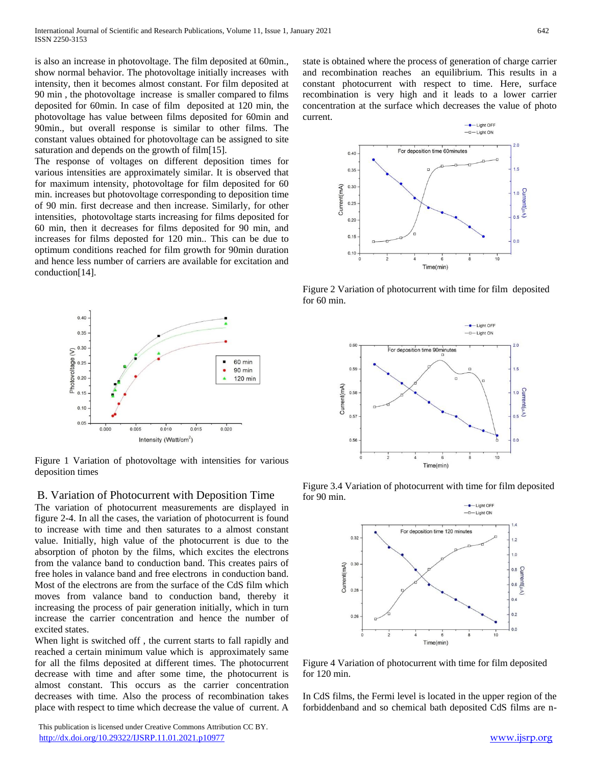is also an increase in photovoltage. The film deposited at 60min., show normal behavior. The photovoltage initially increases with intensity, then it becomes almost constant. For film deposited at 90 min , the photovoltage increase is smaller compared to films deposited for 60min. In case of film deposited at 120 min, the photovoltage has value between films deposited for 60min and 90min., but overall response is similar to other films. The constant values obtained for photovoltage can be assigned to site saturation and depends on the growth of film[15].

The response of voltages on different deposition times for various intensities are approximately similar. It is observed that for maximum intensity, photovoltage for film deposited for 60 min. increases but photovoltage corresponding to deposition time of 90 min. first decrease and then increase. Similarly, for other intensities, photovoltage starts increasing for films deposited for 60 min, then it decreases for films deposited for 90 min, and increases for films deposted for 120 min.. This can be due to optimum conditions reached for film growth for 90min duration and hence less number of carriers are available for excitation and conduction[14].



Figure 1 Variation of photovoltage with intensities for various deposition times

#### B. Variation of Photocurrent with Deposition Time

The variation of photocurrent measurements are displayed in figure 2-4. In all the cases, the variation of photocurrent is found to increase with time and then saturates to a almost constant value. Initially, high value of the photocurrent is due to the absorption of photon by the films, which excites the electrons from the valance band to conduction band. This creates pairs of free holes in valance band and free electrons in conduction band. Most of the electrons are from the surface of the CdS film which moves from valance band to conduction band, thereby it increasing the process of pair generation initially, which in turn increase the carrier concentration and hence the number of excited states.

When light is switched off , the current starts to fall rapidly and reached a certain minimum value which is approximately same for all the films deposited at different times. The photocurrent decrease with time and after some time, the photocurrent is almost constant. This occurs as the carrier concentration decreases with time. Also the process of recombination takes place with respect to time which decrease the value of current. A

 This publication is licensed under Creative Commons Attribution CC BY. <http://dx.doi.org/10.29322/IJSRP.11.01.2021.p10977> [www.ijsrp.org](http://ijsrp.org/)

state is obtained where the process of generation of charge carrier and recombination reaches an equilibrium. This results in a constant photocurrent with respect to time. Here, surface recombination is very high and it leads to a lower carrier concentration at the surface which decreases the value of photo current.



Figure 2 Variation of photocurrent with time for film deposited for 60 min.



Figure 3.4 Variation of photocurrent with time for film deposited for 90 min.



Figure 4 Variation of photocurrent with time for film deposited for 120 min.

In CdS films, the Fermi level is located in the upper region of the forbiddenband and so chemical bath deposited CdS films are n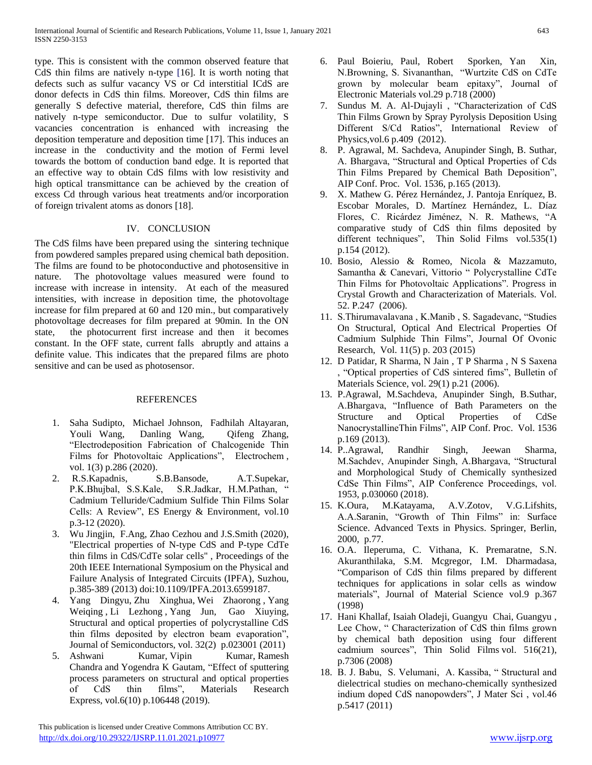type. This is consistent with the common observed feature that CdS thin films are natively n-type [16]. It is worth noting that defects such as sulfur vacancy VS or Cd interstitial ICdS are donor defects in CdS thin films. Moreover, CdS thin films are generally S defective material, therefore, CdS thin films are natively n-type semiconductor. Due to sulfur volatility, S vacancies concentration is enhanced with increasing the deposition temperature and deposition time [17]. This induces an increase in the conductivity and the motion of Fermi level towards the bottom of conduction band edge. It is reported that an effective way to obtain CdS films with low resistivity and high optical transmittance can be achieved by the creation of excess Cd through various heat treatments and/or incorporation of foreign trivalent atoms as donors [18].

# IV. CONCLUSION

The CdS films have been prepared using the sintering technique from powdered samples prepared using chemical bath deposition. The films are found to be photoconductive and photosensitive in nature. The photovoltage values measured were found to increase with increase in intensity. At each of the measured intensities, with increase in deposition time, the photovoltage increase for film prepared at 60 and 120 min., but comparatively photovoltage decreases for film prepared at 90min. In the ON state, the photocurrent first increase and then it becomes constant. In the OFF state, current falls abruptly and attains a definite value. This indicates that the prepared films are photo sensitive and can be used as photosensor.

## REFERENCES

- 1. Saha Sudipto, Michael Johnson, Fadhilah Altayaran, Youli Wang, Danling Wang, Qifeng Zhang, "Electrodeposition Fabrication of Chalcogenide Thin Films for Photovoltaic Applications", Electrochem , vol. 1(3) p.286 (2020).
- 2. R.S.Kapadnis, S.B.Bansode, A.T.Supekar, P.K.Bhujbal, S.S.Kale, S.R.Jadkar, H.M.Pathan, " Cadmium Telluride/Cadmium Sulfide Thin Films Solar Cells: A Review", ES Energy & Environment, vol.10 p.3-12 (2020).
- 3. Wu Jingjin, F.Ang, Zhao Cezhou and J.S.Smith (2020), "Electrical properties of N-type CdS and P-type CdTe thin films in CdS/CdTe solar cells" , Proceedings of the 20th IEEE International Symposium on the Physical and Failure Analysis of Integrated Circuits (IPFA)*,* Suzhou, p.385-389 (2013) doi:10.1109/IPFA.2013.6599187.
- 4. Yang Dingyu, Zhu Xinghua, Wei Zhaorong , Yang Weiqing , Li Lezhong , Yang Jun, Gao Xiuying, Structural and optical properties of polycrystalline CdS thin films deposited by electron beam evaporation", Journal of [Semiconductors,](https://iopscience.iop.org/journal/1674-4926) vol. 32(2) p.023001 (2011)
- 5. Ashwani Kumar, Vipin Kumar, Ramesh Chandra and Yogendra K Gautam, "Effect of sputtering process parameters on structural and optical properties of CdS thin films", [Materials](https://iopscience.iop.org/journal/2053-1591) Research [Express,](https://iopscience.iop.org/journal/2053-1591) vol.6(10) p.106448 (2019).
- 6. Paul Boieriu, Paul, Robert Sporken, Yan Xin, N.Browning, S. Sivananthan, "Wurtzite CdS on CdTe grown by molecular beam epitaxy", Journal of Electronic Materials vol.29 p.718 (2000)
- 7. Sundus M. A. Al-Dujayli , "Characterization of CdS Thin Films Grown by Spray Pyrolysis Deposition Using Different S/Cd Ratios", International Review of Physics,vol.6 p.409 (2012).
- 8. P. Agrawal, M. Sachdeva, Anupinder Singh, B. Suthar, A. Bhargava, "Structural and Optical Properties of Cds Thin Films Prepared by Chemical Bath Deposition", AIP Conf. Proc. Vol. 1536, p.165 (2013).
- 9. X. Mathew G. Pérez Hernández, J. Pantoja Enríquez, B. Escobar Morales, D. Martínez Hernández, L. Díaz Flores, C. Ricárdez Jiménez, N. R. Mathews, "A comparative study of CdS thin films deposited by different techniques", Thin Solid Films vol.535(1) p.154 (2012).
- 10. Bosio, Alessio & Romeo, Nicola & Mazzamuto, Samantha & Canevari, Vittorio " Polycrystalline CdTe Thin Films for Photovoltaic Applications". Progress in Crystal Growth and Characterization of Materials. Vol. 52. P.247 (2006).
- 11. S.Thirumavalavana , K.Manib , S. Sagadevanc, "Studies On Structural, Optical And Electrical Properties Of Cadmium Sulphide Thin Films", Journal Of Ovonic Research, Vol. 11(5) p. 203 (2015)
- 12. D Patidar, R Sharma, N Jain , T P Sharma , N S Saxena , "Optical properties of CdS sintered fims", Bulletin of Materials Science, vol. 29(1) p.21 (2006).
- 13. P.Agrawal, M.Sachdeva, Anupinder Singh, B.Suthar, A.Bhargava, "Influence of Bath Parameters on the Structure and Optical Properties of CdSe NanocrystallineThin Films", AIP Conf. Proc. Vol. 1536 p.169 (2013).
- 14. P..Agrawal, Randhir Singh, Jeewan Sharma, M.Sachdev, Anupinder Singh, A.Bhargava, "Structural and Morphological Study of Chemically synthesized CdSe Thin Films", AIP Conference Proceedings, vol. 1953, p.030060 (2018).
- 15. K.Oura, M.Katayama, A.V.Zotov, V.G.Lifshits, A.A.Saranin, "Growth of Thin Films" in: Surface Science. Advanced Texts in Physics. Springer, Berlin, 2000, p.77.
- 16. O.A. Ileperuma, C. Vithana, K. Premaratne, S.N. Akuranthilaka, S.M. Mcgregor, I.M. Dharmadasa, "Comparison of CdS thin films prepared by different techniques for applications in solar cells as window materials", Journal of Material Science vol.9 p.367 (1998)
- 17. Hani Khallaf, Isaiah Oladeji, Guangyu Chai, Guangyu , Lee Chow, " Characterization of CdS thin films grown by chemical bath deposition using four different cadmium sources", Thin Solid [Films](https://www.researchgate.net/journal/0040-6090_Thin_Solid_Films) vol. 516(21), p.7306 (2008)
- 18. B. J. Babu, S. Velumani, A. Kassiba, " Structural and dielectrical studies on mechano-chemically synthesized indium doped CdS nanopowders", J Mater Sci , vol.46 p.5417 (2011)